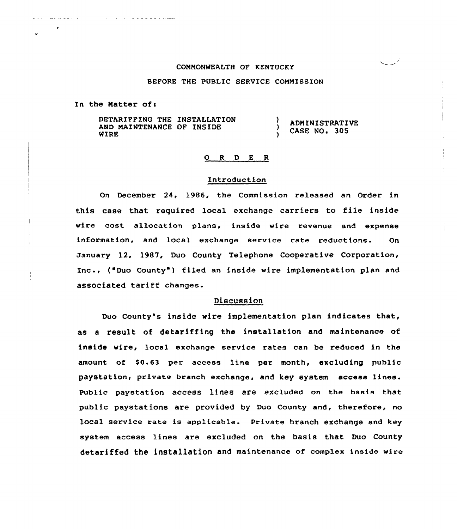#### COMMONWEALTH OF KENTUCKY

#### BEFORE THE PUBLIC SERVICE COMMISSION

In the Matter of:

 $\mathcal{L}_{\mathcal{A}}\left( \mathcal{A}\right) =\mathcal{L}_{\mathcal{A}}\left( \mathcal{A}\right) =\mathcal{L}_{\mathcal{A}}\left( \mathcal{A}\right) =\mathcal{L}_{\mathcal{A}}\left( \mathcal{A}\right)$ 

DETARIFFING THE INSTALLATION <sup>)</sup> AND MAINTENANCE OF INSIDE  $\lambda$ MERE

ADMINISTRATIVE CASE NO. 305

أسبية

#### 0. R D E R

## Introduction

On December 24, 1986, the Commission released an Order in this case that required local exchange carriers to file inside wire cost allocation plans, inside wire revenue and expense information, and local exchange service rate reductions- On January 12, 1987, Duo County Telephone Cooperative Corporation, Inc., { Duo County ) filed an inside wire implementation plan and associated tariff changes.

# Discussion

Duo County's inside wire implementation plan indicates that, as a result of detariffing the installation and maintenance of inside wire, local exchange service rates can be reduced in the amount of  $$0.63$  per access line per month, excluding public paystation, private branch exchange, and key system access lines. Public paystation access lines are excluded on the basis that public paystations are provided by Duo County and, therefore, no local service rate is applicable. Private branch exchange and key system access lines are excluded on the basis that Duo County detariffed the instal1ation and maintenance of complex inside wire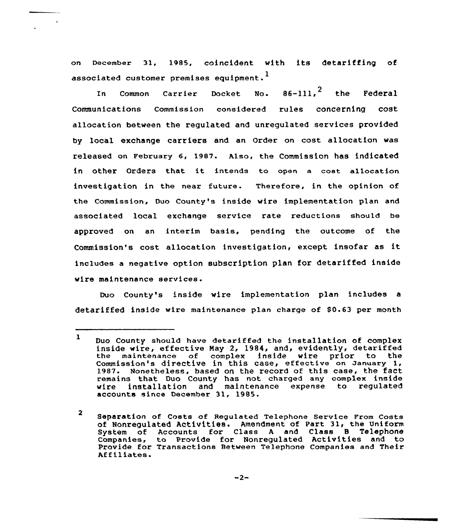on December 31, 1985, coincident with its detariffing of associated customer premises equipment.<sup>1</sup>

In Common Carrier Docket No.  $86-111, 2$  the Federal Communications Commission considered rules concerning cost allocation between the regulated and unregulated services provided by local exchange carriers and an Order on cost allocation was released on February 6, 1987. Also, the Commission has indicated in other Orders that it intends to open <sup>a</sup> cost allocation investigation in the near future. Therefore, in the opinion of the Commission, Duo County's inside wire implementation plan and associated local exchange service rate reductions should be approved on an interim basis, pending the outcome of the Commission's cost allocation investigation, except insofar as it includes a negative option subscription plan for detariffed inside wire maintenance services.

Duo County's inside wire implementation plan includes detariffed inside wire maintenance plan charge of \$0.63 per month

<sup>1</sup> Duo County should have detariffed the installation of complex inside wire, effective Nay 2, 1984, and, evidently, detariffed the maintenance of complex inside wire prior to the commission's directive in this case, effective on January 1, 1987. Nonetheless, based on the record of this case, the fact remains that Duo County has not charged any complex inside installation and maintenance expense to regulated accounts since December 31, 1985.

<sup>2</sup> Separation of Costs of Regulated Telephone Service From Costs of Nonregulated Activities. Amendment of Part 31, the Uniform for Class A and Class B Telephone Companies, to Provide for Nonregulated Activities and to Provide for Transactions Between Telephone Companies and Their<br>Affiliates.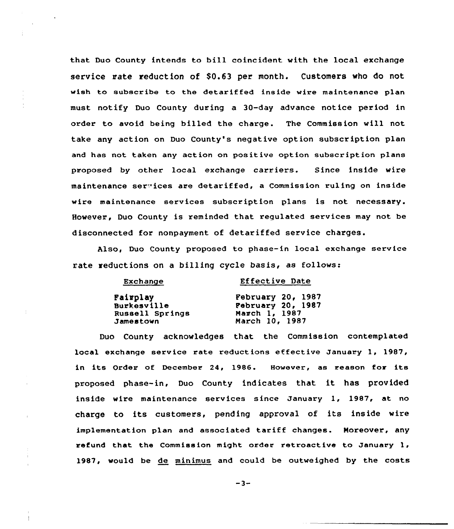that Duo County intends to bill coincident with the local exchange service rate reduction of \$0.63 per month. Customers who do not wish to subscribe to the detariffed inside wire maintenance plan must notify Duo County during a 30-day advance notice period in order to avoid being billed the charge. The Commission will not take any action on Duo County's negative option subscription plan and has not taken any action on positive option subscription plans proposed by other local exchange carriers. Since inside wire maintenance acr 'ices are detariffed, a Commission ruling on inside wire maintenance services subscription plans is not necessary. However, Duo County is reminded that regulated services may not be disconnected for nonpayment of detariffed service charges.

Also, Duo County proposed to phase-in local exchange service rate reductions on a billing cycle basis, as follows:

| <b>Effective Date</b>    |
|--------------------------|
| February 20, 1987        |
| <b>February 20, 1987</b> |
| March 1, 1987            |
| March 10, 1987           |
|                          |

Duo County acknowledges that the Commission contemplated local exchange service rate reductions effective January 1, 1987, in its Order of December 24, 1986. However, as reason for its proposed phase-in, Duo County indicates that it has provided inside wire maintenance services since January 1, 1987, at no charge to its customers, pending approval of its inside wire implementation plan and associated tariff changes. Moreover, any refund that the Commission might order retroact ive to January 1, 1987, would be de minimus and could be outweighed by the costs

 $-3-$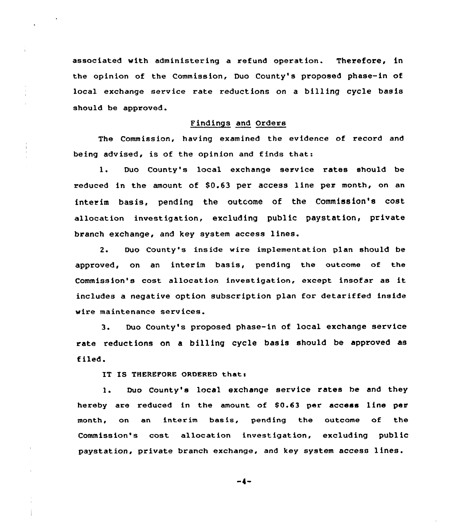associated with administering a refund operation. Therefore, in the opinion of the Commission, Duo County's proposed phase-in of local exchange service rate reductions on a billing cycle basis should be approved.

## Findings and Orders

The Commission, having examined the evidence of record and being advised, is of the opinion and finds that:

1. Duo County's local exchange service rates should be reduced in the amount of \$0.63 per access line per month, on an interim basis, pending the outcome of the Commission's cost allocation investigation, excluding public paystation, private branch exchange, and key system access lines.

2. Duo County's inside wire implementation plan should be approved, on an interim basis, pending the outcome of the Commission's cost allocation investigation, except insofar as it includes a negative option subscription plan for detariffed inside wire maintenance services.

3. Duo County's proposed phase-in of local exchange service rate reductions on a billing cycle basis should be approved as tiled.

IT IS THEREFORE ORDERED that:

1. Duo County's local exchange service rates be and they hereby are reduced in the amount of S0.63 per access line per month, on an interim basis, pending the outcome of the Commission's cost allocation investigation, excluding public paystation, private branch exchange, and key system access lines.